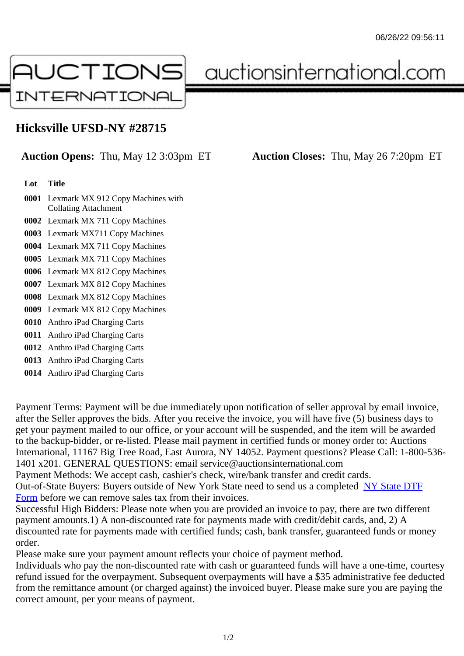## Hicksville UFSD-NY #28715

## Auction Opens: Thu, May 12 3:03pm ET Auction Closes: Thu, May 26 7:20pm ET

## Lot Title

- 0001 Lexmark MX 912 Copy Machines with Collating Attachment
- 0002 Lexmark MX 711 Copy Machines
- 0003 Lexmark MX711 Copy Machines
- 0004 Lexmark MX 711 Copy Machines
- 0005 Lexmark MX 711 Copy Machines
- 0006 Lexmark MX 812 Copy Machines
- 0007 Lexmark MX 812 Copy Machines
- 0008 Lexmark MX 812 Copy Machines
- 0009 Lexmark MX 812 Copy Machines
- 0010 Anthro iPad Charging Carts
- 0011 Anthro iPad Charging Carts
- 0012 Anthro iPad Charging Carts
- 0013 Anthro iPad Charging Carts
- 0014 Anthro iPad Charging Carts

Payment Terms: Payment will be due immediately upon notification of seller approval by email invoice, after the Seller approves the bids. After you receive the invoice, you will have five (5) business days to get your payment mailed to our office, or your account will be suspended, and the item will be awarded to the backup-bidder, or re-listed. Please mail payment in certified funds or money order to: Auctions International, 11167 Big Tree Road, East Aurora, NY 14052. Payment questions? Please Call: 1-800-53 1401 x201. GENERAL QUESTIONS: email service@auctionsinternational.com

Payment Methods: We accept cash, cashier's check, wire/bank transfer and credit cards.

Out-of-State Buyers: Buyers outside of New York State need to send us a com blestate DTF

Form before we can remove sales tax from their invoices.

Successful High Bidders: Please note when you are provided an invoice to pay, there are two different payment amounts.1) A non-discounted rate for payments made with credit/de[bit cards, and](https://www.auctionsinternational.com/auxiliary/downloads/DTF_Form/dtf_fill_in.pdf), 2) A [disco](https://www.auctionsinternational.com/auxiliary/downloads/DTF_Form/dtf_fill_in.pdf)unted rate for payments made with certified funds; cash, bank transfer, guaranteed funds or mone order.

Please make sure your payment amount reflects your choice of payment method.

Individuals who pay the non-discounted rate with cash or guaranteed funds will have a one-time, courte refund issued for the overpayment. Subsequent overpayments will have a \$35 administrative fee deduc from the remittance amount (or charged against) the invoiced buyer. Please make sure you are paying correct amount, per your means of payment.